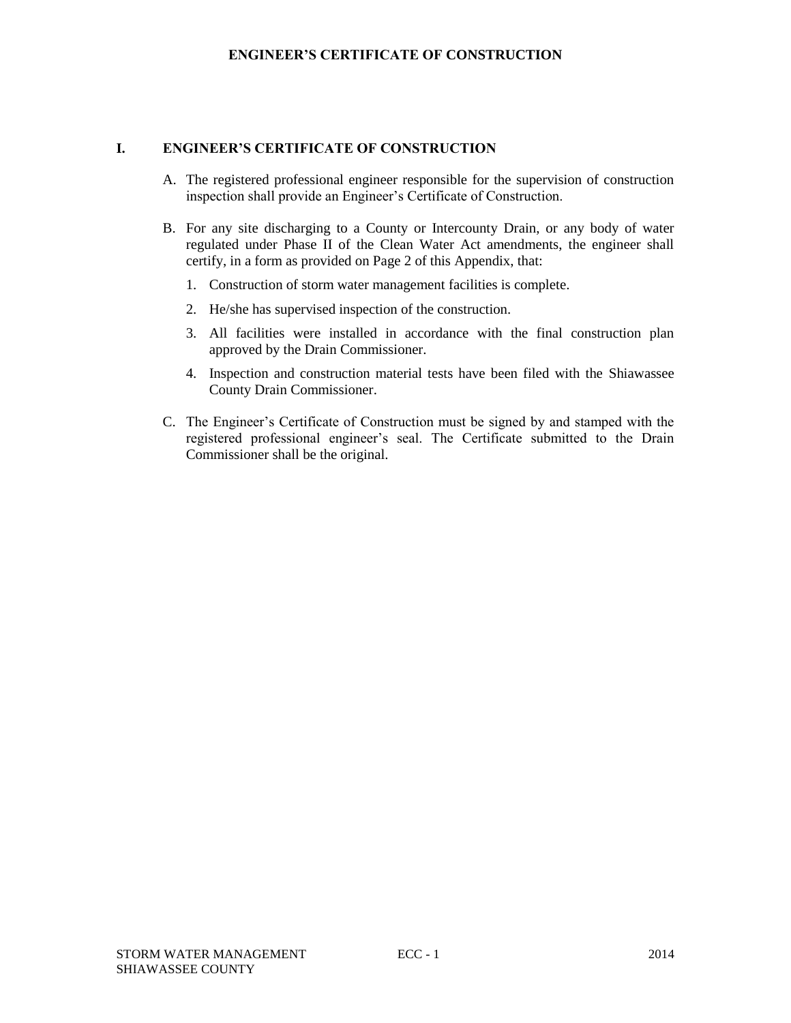### **ENGINEER'S CERTIFICATE OF CONSTRUCTION**

### **I. ENGINEER'S CERTIFICATE OF CONSTRUCTION**

- A. The registered professional engineer responsible for the supervision of construction inspection shall provide an Engineer's Certificate of Construction.
- B. For any site discharging to a County or Intercounty Drain, or any body of water regulated under Phase II of the Clean Water Act amendments, the engineer shall certify, in a form as provided on Page 2 of this Appendix, that:
	- 1. Construction of storm water management facilities is complete.
	- 2. He/she has supervised inspection of the construction.
	- 3. All facilities were installed in accordance with the final construction plan approved by the Drain Commissioner.
	- 4. Inspection and construction material tests have been filed with the Shiawassee County Drain Commissioner.
- C. The Engineer's Certificate of Construction must be signed by and stamped with the registered professional engineer's seal. The Certificate submitted to the Drain Commissioner shall be the original.